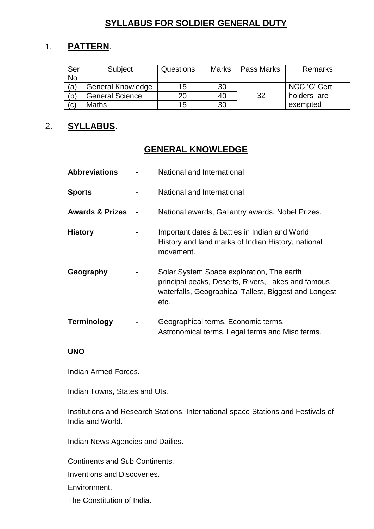# **SYLLABUS FOR SOLDIER GENERAL DUTY**

# 1. **PATTERN**.

| Ser       | Subject                  | Questions | <b>Marks</b> | Pass Marks | <b>Remarks</b> |
|-----------|--------------------------|-----------|--------------|------------|----------------|
| <b>No</b> |                          |           |              |            |                |
| (a)       | <b>General Knowledge</b> | 15        | 30           |            | NCC 'C' Cert   |
| (b)       | <b>General Science</b>   | 20        | 40           | -32        | holders are    |
| (c)       | <b>Maths</b>             | 15        | 30           |            | exempted       |

### 2. **SYLLABUS**.

## **GENERAL KNOWLEDGE**

| <b>Abbreviations</b>       | National and International.                                                                                                                                      |
|----------------------------|------------------------------------------------------------------------------------------------------------------------------------------------------------------|
| <b>Sports</b>              | National and International.                                                                                                                                      |
| <b>Awards &amp; Prizes</b> | National awards, Gallantry awards, Nobel Prizes.                                                                                                                 |
| <b>History</b>             | Important dates & battles in Indian and World<br>History and land marks of Indian History, national<br>movement.                                                 |
| Geography                  | Solar System Space exploration, The earth<br>principal peaks, Deserts, Rivers, Lakes and famous<br>waterfalls, Geographical Tallest, Biggest and Longest<br>etc. |
| <b>Terminology</b>         | Geographical terms, Economic terms,<br>Astronomical terms, Legal terms and Misc terms.                                                                           |

#### **UNO**

Indian Armed Forces.

Indian Towns, States and Uts.

Institutions and Research Stations, International space Stations and Festivals of India and World.

Indian News Agencies and Dailies.

Continents and Sub Continents.

Inventions and Discoveries.

Environment.

The Constitution of India.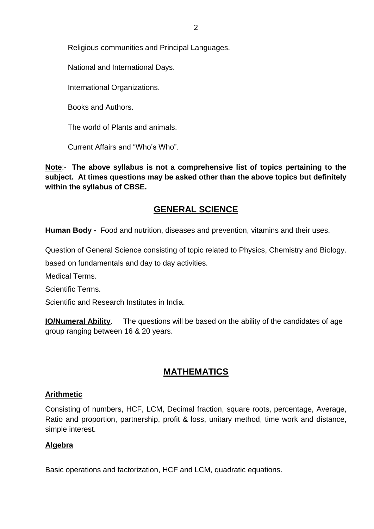Religious communities and Principal Languages.

National and International Days.

International Organizations.

Books and Authors.

The world of Plants and animals.

Current Affairs and "Who's Who".

**Note**:- **The above syllabus is not a comprehensive list of topics pertaining to the subject. At times questions may be asked other than the above topics but definitely within the syllabus of CBSE.**

## **GENERAL SCIENCE**

**Human Body -** Food and nutrition, diseases and prevention, vitamins and their uses.

Question of General Science consisting of topic related to Physics, Chemistry and Biology. based on fundamentals and day to day activities.

Medical Terms.

Scientific Terms.

Scientific and Research Institutes in India.

**IO/Numeral Ability**. The questions will be based on the ability of the candidates of age group ranging between 16 & 20 years.

## **MATHEMATICS**

#### **Arithmetic**

Consisting of numbers, HCF, LCM, Decimal fraction, square roots, percentage, Average, Ratio and proportion, partnership, profit & loss, unitary method, time work and distance, simple interest.

#### **Algebra**

Basic operations and factorization, HCF and LCM, quadratic equations.